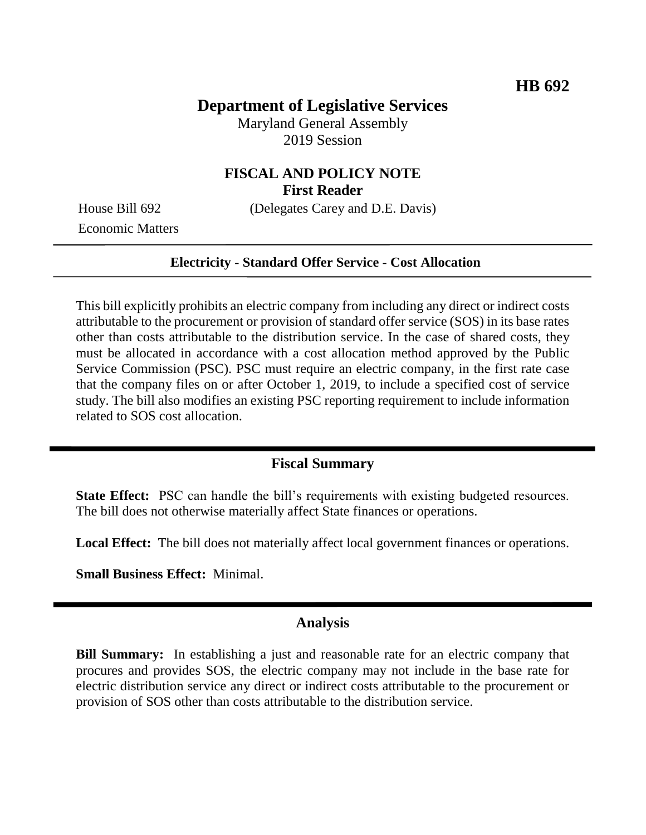# **Department of Legislative Services**

Maryland General Assembly 2019 Session

### **FISCAL AND POLICY NOTE First Reader**

House Bill 692 (Delegates Carey and D.E. Davis)

Economic Matters

#### **Electricity - Standard Offer Service - Cost Allocation**

This bill explicitly prohibits an electric company from including any direct or indirect costs attributable to the procurement or provision of standard offer service (SOS) in its base rates other than costs attributable to the distribution service. In the case of shared costs, they must be allocated in accordance with a cost allocation method approved by the Public Service Commission (PSC). PSC must require an electric company, in the first rate case that the company files on or after October 1, 2019, to include a specified cost of service study. The bill also modifies an existing PSC reporting requirement to include information related to SOS cost allocation.

### **Fiscal Summary**

**State Effect:** PSC can handle the bill's requirements with existing budgeted resources. The bill does not otherwise materially affect State finances or operations.

**Local Effect:** The bill does not materially affect local government finances or operations.

**Small Business Effect:** Minimal.

#### **Analysis**

**Bill Summary:** In establishing a just and reasonable rate for an electric company that procures and provides SOS, the electric company may not include in the base rate for electric distribution service any direct or indirect costs attributable to the procurement or provision of SOS other than costs attributable to the distribution service.